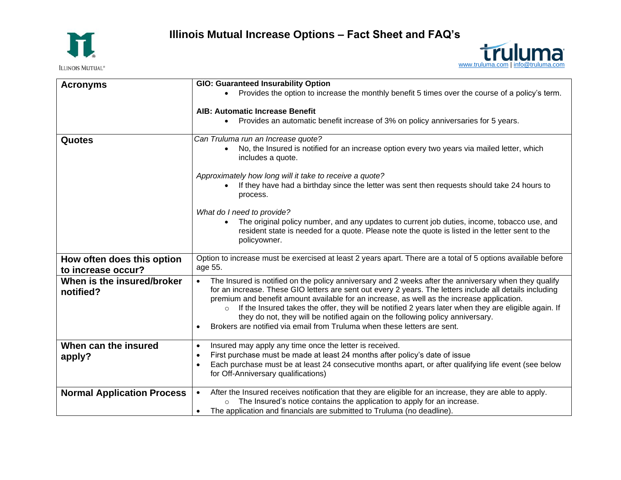



| <b>Acronyms</b>                                  | <b>GIO: Guaranteed Insurability Option</b>                                                                                                                                                                                                                                                                                                                                                                                                                                                                                                                                                                                |
|--------------------------------------------------|---------------------------------------------------------------------------------------------------------------------------------------------------------------------------------------------------------------------------------------------------------------------------------------------------------------------------------------------------------------------------------------------------------------------------------------------------------------------------------------------------------------------------------------------------------------------------------------------------------------------------|
|                                                  | Provides the option to increase the monthly benefit 5 times over the course of a policy's term.                                                                                                                                                                                                                                                                                                                                                                                                                                                                                                                           |
|                                                  | <b>AIB: Automatic Increase Benefit</b>                                                                                                                                                                                                                                                                                                                                                                                                                                                                                                                                                                                    |
|                                                  | Provides an automatic benefit increase of 3% on policy anniversaries for 5 years.                                                                                                                                                                                                                                                                                                                                                                                                                                                                                                                                         |
|                                                  |                                                                                                                                                                                                                                                                                                                                                                                                                                                                                                                                                                                                                           |
| Quotes                                           | Can Truluma run an Increase quote?                                                                                                                                                                                                                                                                                                                                                                                                                                                                                                                                                                                        |
|                                                  | No, the Insured is notified for an increase option every two years via mailed letter, which<br>includes a quote.                                                                                                                                                                                                                                                                                                                                                                                                                                                                                                          |
|                                                  | Approximately how long will it take to receive a quote?                                                                                                                                                                                                                                                                                                                                                                                                                                                                                                                                                                   |
|                                                  | If they have had a birthday since the letter was sent then requests should take 24 hours to<br>process.                                                                                                                                                                                                                                                                                                                                                                                                                                                                                                                   |
|                                                  | What do I need to provide?                                                                                                                                                                                                                                                                                                                                                                                                                                                                                                                                                                                                |
|                                                  | The original policy number, and any updates to current job duties, income, tobacco use, and<br>resident state is needed for a quote. Please note the quote is listed in the letter sent to the<br>policyowner.                                                                                                                                                                                                                                                                                                                                                                                                            |
| How often does this option<br>to increase occur? | Option to increase must be exercised at least 2 years apart. There are a total of 5 options available before<br>age 55.                                                                                                                                                                                                                                                                                                                                                                                                                                                                                                   |
| When is the insured/broker<br>notified?          | The Insured is notified on the policy anniversary and 2 weeks after the anniversary when they qualify<br>$\bullet$<br>for an increase. These GIO letters are sent out every 2 years. The letters include all details including<br>premium and benefit amount available for an increase, as well as the increase application.<br>If the Insured takes the offer, they will be notified 2 years later when they are eligible again. If<br>$\circ$<br>they do not, they will be notified again on the following policy anniversary.<br>Brokers are notified via email from Truluma when these letters are sent.<br>$\bullet$ |
| When can the insured<br>apply?                   | Insured may apply any time once the letter is received.<br>$\bullet$<br>First purchase must be made at least 24 months after policy's date of issue<br>$\bullet$<br>Each purchase must be at least 24 consecutive months apart, or after qualifying life event (see below<br>$\bullet$<br>for Off-Anniversary qualifications)                                                                                                                                                                                                                                                                                             |
| <b>Normal Application Process</b>                | After the Insured receives notification that they are eligible for an increase, they are able to apply.<br>$\bullet$<br>The Insured's notice contains the application to apply for an increase.<br>$\circ$<br>The application and financials are submitted to Truluma (no deadline).<br>$\bullet$                                                                                                                                                                                                                                                                                                                         |